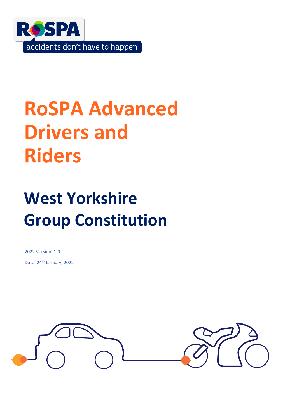

# **RoSPA Advanced Drivers and Riders**

# **West Yorkshire Group Constitution**

2022 Version: 1.0 Date: 24<sup>th</sup> January, 2022

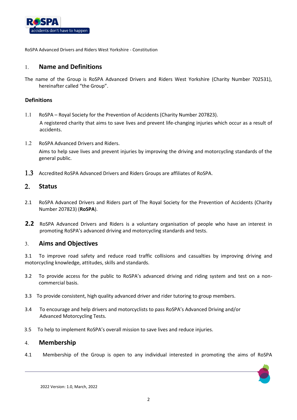

## **Name and Definitions**

The name of the Group is RoSPA Advanced Drivers and Riders West Yorkshire (Charity Number 702531), hereinafter called "the Group".

### **Definitions**

- RoSPA Royal Society for the Prevention of Accidents (Charity Number 207823). A registered charity that aims to save lives and prevent life-changing injuries which occur as a result of accidents.
- 1.2 RoSPA Advanced Drivers and Riders. Aims to help save lives and prevent injuries by improving the driving and motorcycling standards of the general public.
- 1.3 Accredited RoSPA Advanced Drivers and Riders Groups are affiliates of RoSPA.

## **Status**

- 2.1 RoSPA Advanced Drivers and Riders part of The Royal Society for the Prevention of Accidents (Charity Number 207823) (**RoSPA**).
- **2.2** RoSPA Advanced Drivers and Riders is a voluntary organisation of people who have an interest in promoting RoSPA's advanced driving and motorcycling standards and tests.

## **Aims and Objectives**

3.1 To improve road safety and reduce road traffic collisions and casualties by improving driving and motorcycling knowledge, attitudes, skills and standards.

- 3.2 To provide access for the public to RoSPA's advanced driving and riding system and test on a noncommercial basis.
- 3.3 To provide consistent, high quality advanced driver and rider tutoring to group members.
- 3.4 To encourage and help drivers and motorcyclists to pass RoSPA's Advanced Driving and/or Advanced Motorcycling Tests.
- 3.5 To help to implement RoSPA's overall mission to save lives and reduce injuries.

## **Membership**

4.1 Membership of the Group is open to any individual interested in promoting the aims of RoSPA

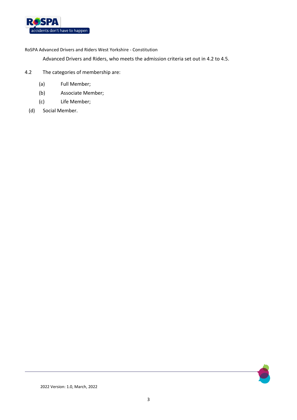

Advanced Drivers and Riders, who meets the admission criteria set out in 4.2 to 4.5.

- 4.2 The categories of membership are:
	- (a) Full Member;
	- (b) Associate Member;
	- (c) Life Member;
	- (d) Social Member.

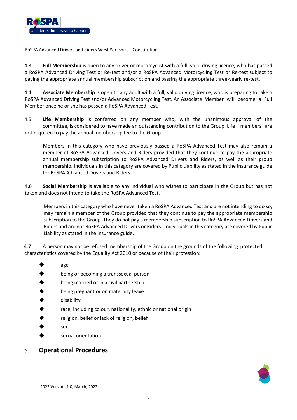

4.3 **Full Membership** is open to any driver or motorcyclist with a full, valid driving licence, who has passed a RoSPA Advanced Driving Test or Re-test and/or a RoSPA Advanced Motorcycling Test or Re-test subject to paying the appropriate annual membership subscription and passing the appropriate three-yearly re-test.

4.4 **Associate Membership** is open to any adult with a full, valid driving licence, who is preparing to take a RoSPA Advanced Driving Test and/or Advanced Motorcycling Test. An Associate Member will become a Full Member once he or she has passed a RoSPA Advanced Test.

4.5 **Life Membership** is conferred on any member who, with the unanimous approval of the committee, is considered to have made an outstanding contribution to the Group. Life members are not required to pay the annual membership fee to the Group.

Members in this category who have previously passed a RoSPA Advanced Test may also remain a member of RoSPA Advanced Drivers and Riders provided that they continue to pay the appropriate annual membership subscription to RoSPA Advanced Drivers and Riders, as well as their group membership. Individuals in this category are covered by Public Liability as stated in the insurance guide for RoSPA Advanced Drivers and Riders.

4.6 **Social Membership** is available to any individual who wishes to participate in the Group but has not taken and does not intend to take the RoSPA Advanced Test.

Members in this category who have never taken a RoSPA Advanced Test and are not intending to do so, may remain a member of the Group provided that they continue to pay the appropriate membership subscription to the Group. They do not pay a membership subscription to RoSPA Advanced Drivers and Riders and are not RoSPA Advanced Drivers or Riders. Individuals in this category are covered by Public Liability as stated in the insurance guide.

4.7 A person may not be refused membership of the Group on the grounds of the following protected characteristics covered by the Equality Act 2010 or because of their profession:

- age
- being or becoming a transsexual person
- being married or in a civil partnership
- being pregnant or on maternity leave
- disability
- race; including colour, nationality, ethnic or national origin
- religion, belief or lack of religion, belief
- sex
- sexual orientation

## **Operational Procedures**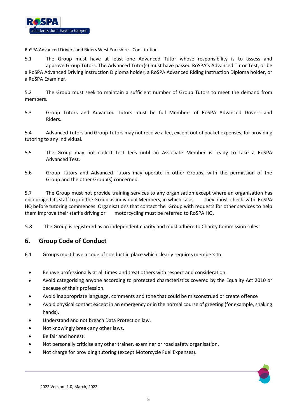

5.1 The Group must have at least one Advanced Tutor whose responsibility is to assess and approve Group Tutors. The Advanced Tutor(s) must have passed RoSPA's Advanced Tutor Test, or be a RoSPA Advanced Driving Instruction Diploma holder, a RoSPA Advanced Riding Instruction Diploma holder, or a RoSPA Examiner.

5.2 The Group must seek to maintain a sufficient number of Group Tutors to meet the demand from members.

5.3 Group Tutors and Advanced Tutors must be full Members of RoSPA Advanced Drivers and Riders.

5.4 Advanced Tutors and Group Tutors may not receive a fee, except out of pocket expenses, for providing tutoring to any individual.

- 5.5 The Group may not collect test fees until an Associate Member is ready to take a RoSPA Advanced Test.
- 5.6 Group Tutors and Advanced Tutors may operate in other Groups, with the permission of the Group and the other Group(s) concerned.

5.7 The Group must not provide training services to any organisation except where an organisation has encouraged its staff to join the Group as individual Members, in which case, they must check with RoSPA HQ before tutoring commences. Organisations that contact the Group with requests for other services to help them improve their staff's driving or motorcycling must be referred to RoSPA HQ.

5.8 The Group is registered as an independent charity and must adhere to Charity Commission rules.

# **6. Group Code of Conduct**

- 6.1 Groups must have a code of conduct in place which clearly requires members to:
	- Behave professionally at all times and treat others with respect and consideration.
	- Avoid categorising anyone according to protected characteristics covered by the Equality Act 2010 or because of their profession.
	- Avoid inappropriate language, comments and tone that could be misconstrued or create offence
	- Avoid physical contact except in an emergency or in the normal course of greeting (for example, shaking hands).
	- Understand and not breach Data Protection law.
	- Not knowingly break any other laws.
	- Be fair and honest.
	- Not personally criticise any other trainer, examiner or road safety organisation.
	- Not charge for providing tutoring (except Motorcycle Fuel Expenses).

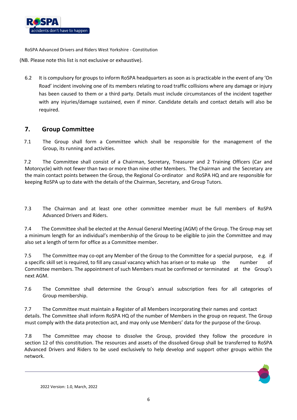

(NB. Please note this list is not exclusive or exhaustive).

6.2 It is compulsory for groups to inform RoSPA headquarters as soon as is practicable in the event of any 'On Road' incident involving one of its members relating to road traffic collisions where any damage or injury has been caused to them or a third party. Details must include circumstances of the incident together with any injuries/damage sustained, even if minor. Candidate details and contact details will also be required.

## **7. Group Committee**

7.1 The Group shall form a Committee which shall be responsible for the management of the Group, its running and activities.

7.2 The Committee shall consist of a Chairman, Secretary, Treasurer and 2 Training Officers (Car and Motorcycle) with not fewer than two or more than nine other Members. The Chairman and the Secretary are the main contact points between the Group, the Regional Co-ordinator and RoSPA HQ and are responsible for keeping RoSPA up to date with the details of the Chairman, Secretary, and Group Tutors.

7.3 The Chairman and at least one other committee member must be full members of RoSPA Advanced Drivers and Riders.

7.4 The Committee shall be elected at the Annual General Meeting (AGM) of the Group. The Group may set a minimum length for an individual's membership of the Group to be eligible to join the Committee and may also set a length of term for office as a Committee member.

7.5 The Committee may co-opt any Member of the Group to the Committee for a special purpose, e.g. if a specific skill set is required, to fill any casual vacancy which has arisen or to make up the number of Committee members. The appointment of such Members must be confirmed or terminated at the Group's next AGM.

7.6 The Committee shall determine the Group's annual subscription fees for all categories of Group membership.

7.7 The Committee must maintain a Register of all Members incorporating their names and contact details. The Committee shall inform RoSPA HQ of the number of Members in the group on request. The Group must comply with the data protection act, and may only use Members' data for the purpose of the Group.

7.8 The Committee may choose to dissolve the Group, provided they follow the procedure in section 12 of this constitution. The resources and assets of the dissolved Group shall be transferred to RoSPA Advanced Drivers and Riders to be used exclusively to help develop and support other groups within the network.

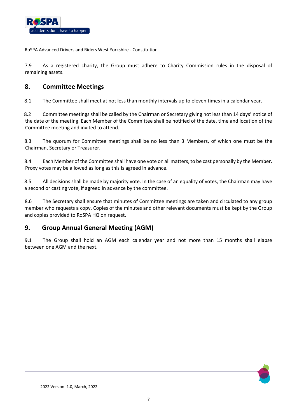

7.9 As a registered charity, the Group must adhere to Charity Commission rules in the disposal of remaining assets.

# **8. Committee Meetings**

8.1 The Committee shall meet at not less than monthly intervals up to eleven times in a calendar year.

8.2 Committee meetings shall be called by the Chairman or Secretary giving not less than 14 days' notice of the date of the meeting. Each Member of the Committee shall be notified of the date, time and location of the Committee meeting and invited to attend.

8.3 The quorum for Committee meetings shall be no less than 3 Members, of which one must be the Chairman, Secretary or Treasurer.

8.4 Each Member of the Committee shall have one vote on all matters, to be cast personally by the Member. Proxy votes may be allowed as long as this is agreed in advance.

8.5 All decisions shall be made by majority vote. In the case of an equality of votes, the Chairman may have a second or casting vote, if agreed in advance by the committee.

8.6 The Secretary shall ensure that minutes of Committee meetings are taken and circulated to any group member who requests a copy. Copies of the minutes and other relevant documents must be kept by the Group and copies provided to RoSPA HQ on request.

# **9. Group Annual General Meeting (AGM)**

9.1 The Group shall hold an AGM each calendar year and not more than 15 months shall elapse between one AGM and the next.

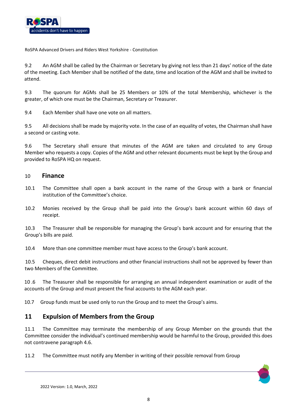

9.2 An AGM shall be called by the Chairman or Secretary by giving not less than 21 days' notice of the date of the meeting. Each Member shall be notified of the date, time and location of the AGM and shall be invited to attend.

9.3 The quorum for AGMs shall be 25 Members or 10% of the total Membership, whichever is the greater, of which one must be the Chairman, Secretary or Treasurer.

9.4 Each Member shall have one vote on all matters.

9.5 All decisions shall be made by majority vote. In the case of an equality of votes, the Chairman shall have a second or casting vote.

9.6 The Secretary shall ensure that minutes of the AGM are taken and circulated to any Group Member who requests a copy. Copies of the AGM and other relevant documents must be kept by the Group and provided to RoSPA HQ on request.

### 10 **Finance**

- 10.1 The Committee shall open a bank account in the name of the Group with a bank or financial institution of the Committee's choice.
- 10.2 Monies received by the Group shall be paid into the Group's bank account within 60 days of receipt.

10.3 The Treasurer shall be responsible for managing the Group's bank account and for ensuring that the Group's bills are paid.

10.4 More than one committee member must have access to the Group's bank account.

10.5 Cheques, direct debit instructions and other financial instructions shall not be approved by fewer than two Members of the Committee.

10 .6 The Treasurer shall be responsible for arranging an annual independent examination or audit of the accounts of the Group and must present the final accounts to the AGM each year.

10.7 Group funds must be used only to run the Group and to meet the Group's aims.

# **11 Expulsion of Members from the Group**

11.1 The Committee may terminate the membership of any Group Member on the grounds that the Committee consider the individual's continued membership would be harmful to the Group, provided this does not contravene paragraph 4.6.

11.2 The Committee must notify any Member in writing of their possible removal from Group

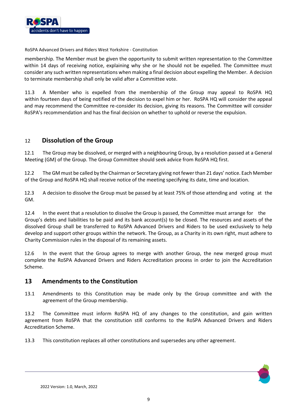

membership. The Member must be given the opportunity to submit written representation to the Committee within 14 days of receiving notice, explaining why she or he should not be expelled. The Committee must consider any such written representations when making a final decision about expelling the Member. A decision to terminate membership shall only be valid after a Committee vote.

11.3 A Member who is expelled from the membership of the Group may appeal to RoSPA HQ within fourteen days of being notified of the decision to expel him or her. RoSPA HQ will consider the appeal and may recommend the Committee re-consider its decision, giving its reasons. The Committee will consider RoSPA's recommendation and has the final decision on whether to uphold or reverse the expulsion.

# 12 **Dissolution of the Group**

12.1 The Group may be dissolved, or merged with a neighbouring Group, by a resolution passed at a General Meeting (GM) of the Group. The Group Committee should seek advice from RoSPA HQ first.

12.2 The GM must be called by the Chairman or Secretary giving not fewer than 21 days' notice. Each Member of the Group and RoSPA HQ shall receive notice of the meeting specifying its date, time and location.

12.3 A decision to dissolve the Group must be passed by at least 75% of those attending and voting at the GM.

12.4 In the event that a resolution to dissolve the Group is passed, the Committee must arrange for the Group's debts and liabilities to be paid and its bank account(s) to be closed. The resources and assets of the dissolved Group shall be transferred to RoSPA Advanced Drivers and Riders to be used exclusively to help develop and support other groups within the network. The Group, as a Charity in its own right, must adhere to Charity Commission rules in the disposal of its remaining assets.

12.6 In the event that the Group agrees to merge with another Group, the new merged group must complete the RoSPA Advanced Drivers and Riders Accreditation process in order to join the Accreditation Scheme.

## **13 Amendments to the Constitution**

13.1 Amendments to this Constitution may be made only by the Group committee and with the agreement of the Group membership.

13.2 The Committee must inform RoSPA HQ of any changes to the constitution, and gain written agreement from RoSPA that the constitution still conforms to the RoSPA Advanced Drivers and Riders Accreditation Scheme.

13.3 This constitution replaces all other constitutions and supersedes any other agreement.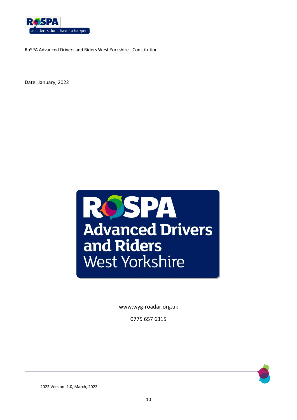

Date: January, 2022



www.wyg-roadar.org.uk

0775 657 6315



2022 Version: 1.0, March, 2022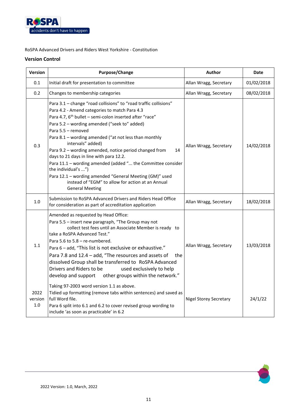

### **Version Control**

| <b>Version</b>         | <b>Purpose/Change</b>                                                                                                                                                                                                                                                                                                                                                                                                                                                                                                                                                                                                                                                                   | <b>Author</b>                 | Date       |
|------------------------|-----------------------------------------------------------------------------------------------------------------------------------------------------------------------------------------------------------------------------------------------------------------------------------------------------------------------------------------------------------------------------------------------------------------------------------------------------------------------------------------------------------------------------------------------------------------------------------------------------------------------------------------------------------------------------------------|-------------------------------|------------|
| 0.1                    | Initial draft for presentation to committee                                                                                                                                                                                                                                                                                                                                                                                                                                                                                                                                                                                                                                             | Allan Wragg, Secretary        | 01/02/2018 |
| 0.2                    | Changes to membership categories                                                                                                                                                                                                                                                                                                                                                                                                                                                                                                                                                                                                                                                        | Allan Wragg, Secretary        | 08/02/2018 |
| 0.3                    | Para 3.1 - change "road collisions" to "road traffic collisions"<br>Para 4.2 - Amend categories to match Para 4.3<br>Para 4.7, 6 <sup>th</sup> bullet - semi-colon inserted after "race"<br>Para 5.2 - wording amended ("seek to" added)<br>Para 5.5 - removed<br>Para 8.1 - wording amended ("at not less than monthly<br>intervals" added)<br>Para 9.2 - wording amended, notice period changed from<br>14<br>days to 21 days in line with para 12.2.<br>Para 11.1 - wording amended (added " the Committee consider<br>the individual's ")<br>Para 12.1 - wording amended "General Meeting (GM)" used<br>instead of "EGM" to allow for action at an Annual<br><b>General Meeting</b> | Allan Wragg, Secretary        | 14/02/2018 |
| 1.0                    | Submission to RoSPA Advanced Drivers and Riders Head Office<br>for consideration as part of accreditation application                                                                                                                                                                                                                                                                                                                                                                                                                                                                                                                                                                   | Allan Wragg, Secretary        | 18/02/2018 |
| 1.1                    | Amended as requested by Head Office:<br>Para 5.5 - insert new paragraph, "The Group may not<br>collect test fees until an Associate Member is ready to<br>take a RoSPA Advanced Test."<br>Para 5.6 to 5.8 - re-numbered.<br>Para 6 - add, "This list is not exclusive or exhaustive."<br>Para 7.8 and 12.4 - add, "The resources and assets of<br>the<br>dissolved Group shall be transferred to RoSPA Advanced<br>Drivers and Riders to be<br>used exclusively to help<br>develop and support other groups within the network."                                                                                                                                                        | Allan Wragg, Secretary        | 13/03/2018 |
| 2022<br>version<br>1.0 | Taking 97-2003 word version 1.1 as above.<br>Tidied up formatting (remove tabs within sentences) and saved as<br>full Word file.<br>Para 6 split into 6.1 and 6.2 to cover revised group wording to<br>include 'as soon as practicable' in 6.2                                                                                                                                                                                                                                                                                                                                                                                                                                          | <b>Nigel Storey Secretary</b> | 24/1/22    |